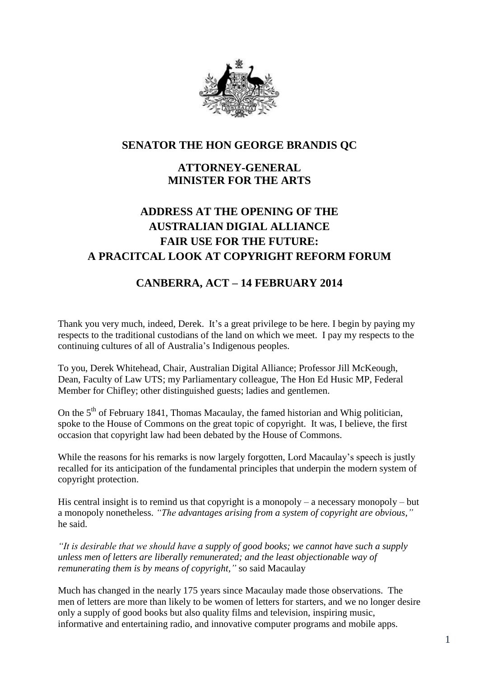

## **SENATOR THE HON GEORGE BRANDIS QC**

# **ATTORNEY-GENERAL MINISTER FOR THE ARTS**

# **ADDRESS AT THE OPENING OF THE AUSTRALIAN DIGIAL ALLIANCE FAIR USE FOR THE FUTURE: A PRACITCAL LOOK AT COPYRIGHT REFORM FORUM**

## **CANBERRA, ACT – 14 FEBRUARY 2014**

Thank you very much, indeed, Derek. It's a great privilege to be here. I begin by paying my respects to the traditional custodians of the land on which we meet. I pay my respects to the continuing cultures of all of Australia's Indigenous peoples.

To you, Derek Whitehead, Chair, Australian Digital Alliance; Professor Jill McKeough, Dean, Faculty of Law UTS; my Parliamentary colleague, The Hon Ed Husic MP, Federal Member for Chifley; other distinguished guests; ladies and gentlemen.

On the  $5<sup>th</sup>$  of February 1841, Thomas Macaulay, the famed historian and Whig politician, spoke to the House of Commons on the great topic of copyright. It was, I believe, the first occasion that copyright law had been debated by the House of Commons.

While the reasons for his remarks is now largely forgotten, Lord Macaulay's speech is justly recalled for its anticipation of the fundamental principles that underpin the modern system of copyright protection.

His central insight is to remind us that copyright is a monopoly – a necessary monopoly – but a monopoly nonetheless. *"The advantages arising from a system of copyright are obvious,"*  he said.

*"It is desirable that we should have a supply of good books; we cannot have such a supply unless men of letters are liberally remunerated; and the least objectionable way of remunerating them is by means of copyright,"* so said Macaulay

Much has changed in the nearly 175 years since Macaulay made those observations. The men of letters are more than likely to be women of letters for starters, and we no longer desire only a supply of good books but also quality films and television, inspiring music, informative and entertaining radio, and innovative computer programs and mobile apps.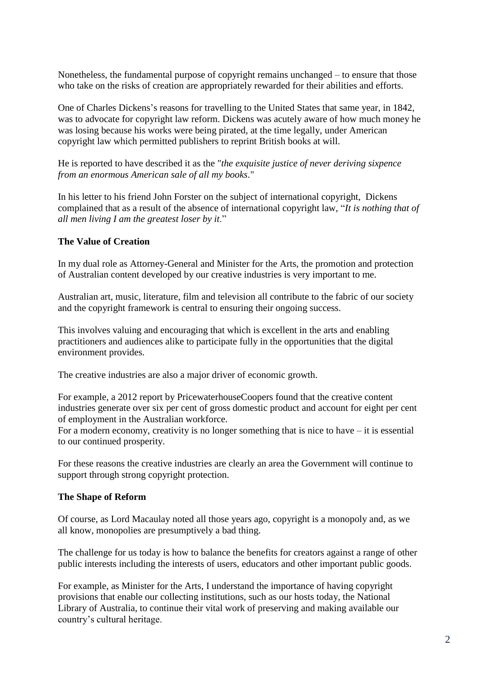Nonetheless, the fundamental purpose of copyright remains unchanged – to ensure that those who take on the risks of creation are appropriately rewarded for their abilities and efforts.

One of Charles Dickens's reasons for travelling to the United States that same year, in 1842, was to advocate for copyright law reform. Dickens was acutely aware of how much money he was losing because his works were being pirated, at the time legally, under American copyright law which permitted publishers to reprint British books at will.

He is reported to have described it as the "*the exquisite justice of never deriving sixpence from an enormous American sale of all my books*."

In his letter to his friend John Forster on the subject of international copyright, Dickens complained that as a result of the absence of international copyright law, "*It is nothing that of all men living I am the greatest loser by it*."

## **The Value of Creation**

In my dual role as Attorney-General and Minister for the Arts, the promotion and protection of Australian content developed by our creative industries is very important to me.

Australian art, music, literature, film and television all contribute to the fabric of our society and the copyright framework is central to ensuring their ongoing success.

This involves valuing and encouraging that which is excellent in the arts and enabling practitioners and audiences alike to participate fully in the opportunities that the digital environment provides.

The creative industries are also a major driver of economic growth.

For example, a 2012 report by PricewaterhouseCoopers found that the creative content industries generate over six per cent of gross domestic product and account for eight per cent of employment in the Australian workforce.

For a modern economy, creativity is no longer something that is nice to have  $-$  it is essential to our continued prosperity.

For these reasons the creative industries are clearly an area the Government will continue to support through strong copyright protection.

#### **The Shape of Reform**

Of course, as Lord Macaulay noted all those years ago, copyright is a monopoly and, as we all know, monopolies are presumptively a bad thing.

The challenge for us today is how to balance the benefits for creators against a range of other public interests including the interests of users, educators and other important public goods.

For example, as Minister for the Arts, I understand the importance of having copyright provisions that enable our collecting institutions, such as our hosts today, the National Library of Australia, to continue their vital work of preserving and making available our country's cultural heritage.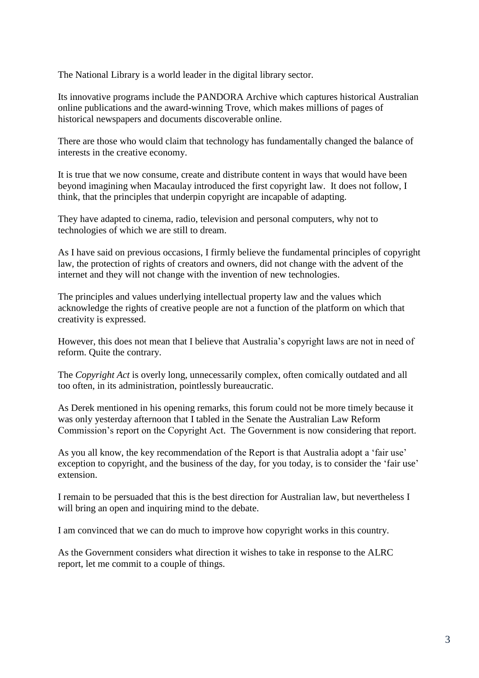The National Library is a world leader in the digital library sector.

Its innovative programs include the PANDORA Archive which captures historical Australian online publications and the award-winning Trove, which makes millions of pages of historical newspapers and documents discoverable online.

There are those who would claim that technology has fundamentally changed the balance of interests in the creative economy.

It is true that we now consume, create and distribute content in ways that would have been beyond imagining when Macaulay introduced the first copyright law. It does not follow, I think, that the principles that underpin copyright are incapable of adapting.

They have adapted to cinema, radio, television and personal computers, why not to technologies of which we are still to dream.

As I have said on previous occasions, I firmly believe the fundamental principles of copyright law, the protection of rights of creators and owners, did not change with the advent of the internet and they will not change with the invention of new technologies.

The principles and values underlying intellectual property law and the values which acknowledge the rights of creative people are not a function of the platform on which that creativity is expressed.

However, this does not mean that I believe that Australia's copyright laws are not in need of reform. Quite the contrary.

The *Copyright Act* is overly long, unnecessarily complex, often comically outdated and all too often, in its administration, pointlessly bureaucratic.

As Derek mentioned in his opening remarks, this forum could not be more timely because it was only yesterday afternoon that I tabled in the Senate the Australian Law Reform Commission's report on the Copyright Act. The Government is now considering that report.

As you all know, the key recommendation of the Report is that Australia adopt a 'fair use' exception to copyright, and the business of the day, for you today, is to consider the 'fair use' extension.

I remain to be persuaded that this is the best direction for Australian law, but nevertheless I will bring an open and inquiring mind to the debate.

I am convinced that we can do much to improve how copyright works in this country.

As the Government considers what direction it wishes to take in response to the ALRC report, let me commit to a couple of things.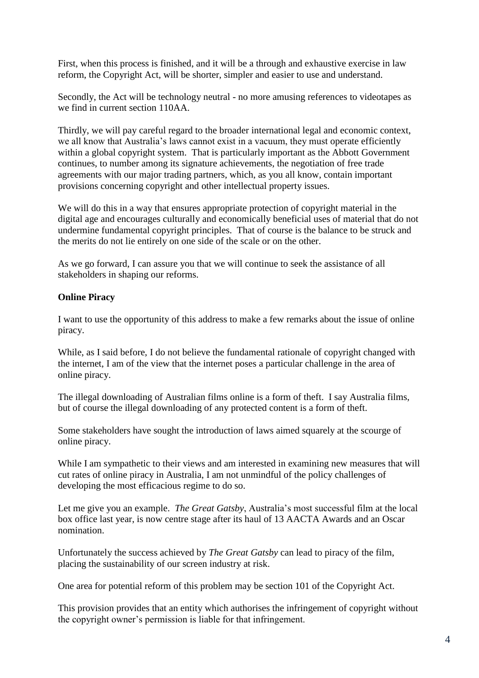First, when this process is finished, and it will be a through and exhaustive exercise in law reform, the Copyright Act, will be shorter, simpler and easier to use and understand.

Secondly, the Act will be technology neutral - no more amusing references to videotapes as we find in current section 110AA.

Thirdly, we will pay careful regard to the broader international legal and economic context, we all know that Australia's laws cannot exist in a vacuum, they must operate efficiently within a global copyright system. That is particularly important as the Abbott Government continues, to number among its signature achievements, the negotiation of free trade agreements with our major trading partners, which, as you all know, contain important provisions concerning copyright and other intellectual property issues.

We will do this in a way that ensures appropriate protection of copyright material in the digital age and encourages culturally and economically beneficial uses of material that do not undermine fundamental copyright principles. That of course is the balance to be struck and the merits do not lie entirely on one side of the scale or on the other.

As we go forward, I can assure you that we will continue to seek the assistance of all stakeholders in shaping our reforms.

## **Online Piracy**

I want to use the opportunity of this address to make a few remarks about the issue of online piracy.

While, as I said before, I do not believe the fundamental rationale of copyright changed with the internet, I am of the view that the internet poses a particular challenge in the area of online piracy.

The illegal downloading of Australian films online is a form of theft. I say Australia films, but of course the illegal downloading of any protected content is a form of theft.

Some stakeholders have sought the introduction of laws aimed squarely at the scourge of online piracy.

While I am sympathetic to their views and am interested in examining new measures that will cut rates of online piracy in Australia, I am not unmindful of the policy challenges of developing the most efficacious regime to do so.

Let me give you an example. *The Great Gatsby*, Australia's most successful film at the local box office last year, is now centre stage after its haul of 13 AACTA Awards and an Oscar nomination.

Unfortunately the success achieved by *The Great Gatsby* can lead to piracy of the film, placing the sustainability of our screen industry at risk.

One area for potential reform of this problem may be section 101 of the Copyright Act.

This provision provides that an entity which authorises the infringement of copyright without the copyright owner's permission is liable for that infringement.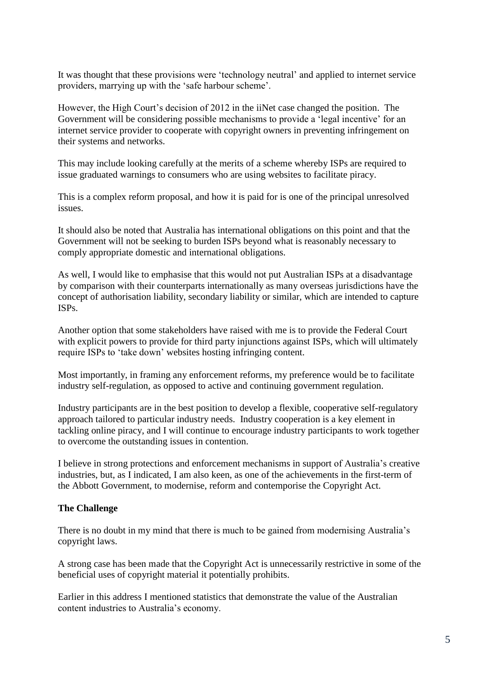It was thought that these provisions were 'technology neutral' and applied to internet service providers, marrying up with the 'safe harbour scheme'.

However, the High Court's decision of 2012 in the iiNet case changed the position. The Government will be considering possible mechanisms to provide a 'legal incentive' for an internet service provider to cooperate with copyright owners in preventing infringement on their systems and networks.

This may include looking carefully at the merits of a scheme whereby ISPs are required to issue graduated warnings to consumers who are using websites to facilitate piracy.

This is a complex reform proposal, and how it is paid for is one of the principal unresolved issues.

It should also be noted that Australia has international obligations on this point and that the Government will not be seeking to burden ISPs beyond what is reasonably necessary to comply appropriate domestic and international obligations.

As well, I would like to emphasise that this would not put Australian ISPs at a disadvantage by comparison with their counterparts internationally as many overseas jurisdictions have the concept of authorisation liability, secondary liability or similar, which are intended to capture ISPs.

Another option that some stakeholders have raised with me is to provide the Federal Court with explicit powers to provide for third party injunctions against ISPs, which will ultimately require ISPs to 'take down' websites hosting infringing content.

Most importantly, in framing any enforcement reforms, my preference would be to facilitate industry self-regulation, as opposed to active and continuing government regulation.

Industry participants are in the best position to develop a flexible, cooperative self-regulatory approach tailored to particular industry needs. Industry cooperation is a key element in tackling online piracy, and I will continue to encourage industry participants to work together to overcome the outstanding issues in contention.

I believe in strong protections and enforcement mechanisms in support of Australia's creative industries, but, as I indicated, I am also keen, as one of the achievements in the first-term of the Abbott Government, to modernise, reform and contemporise the Copyright Act.

#### **The Challenge**

There is no doubt in my mind that there is much to be gained from modernising Australia's copyright laws.

A strong case has been made that the Copyright Act is unnecessarily restrictive in some of the beneficial uses of copyright material it potentially prohibits.

Earlier in this address I mentioned statistics that demonstrate the value of the Australian content industries to Australia's economy.